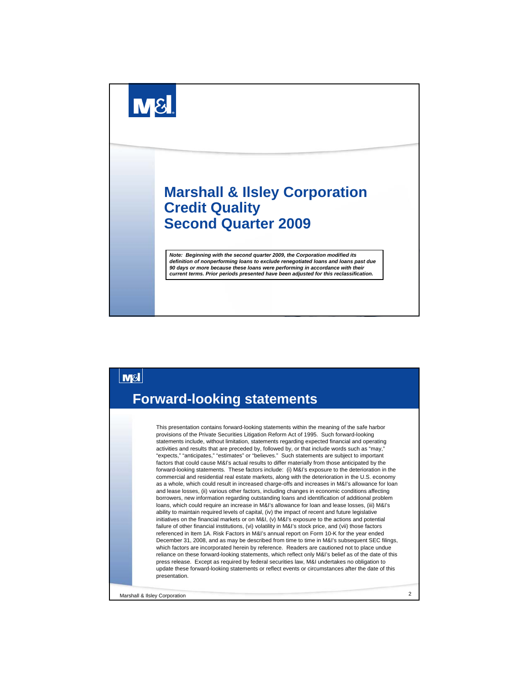



Marshall & Ilsley Corporation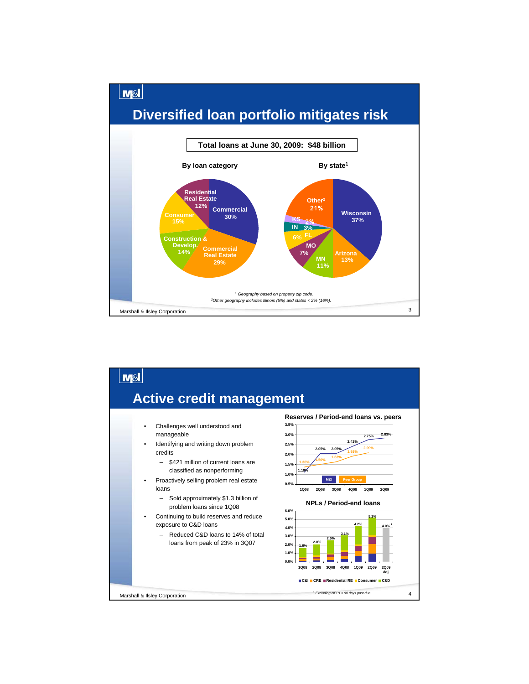

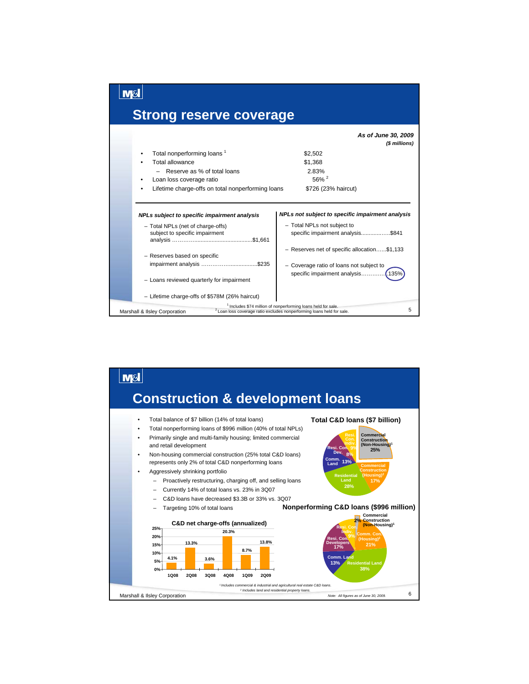

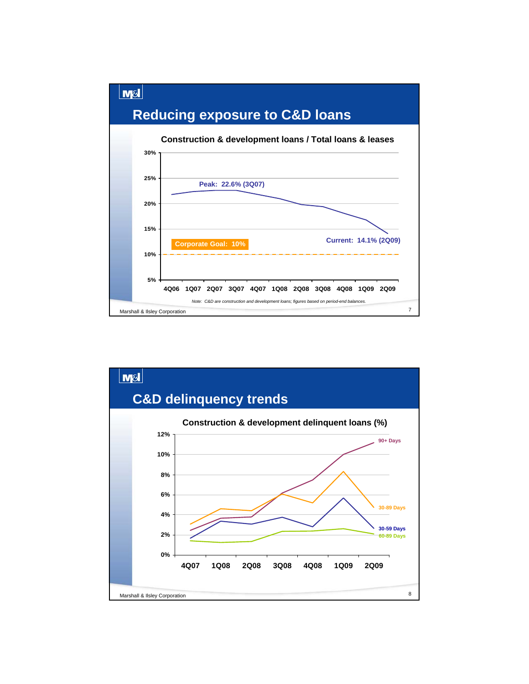



Marshall & Ilsley Corporation 7

**4Q06 1Q07 2Q07 3Q07 4Q07 1Q08 2Q08 3Q08 4Q08 1Q09 2Q09**

**Current: 14.1% (2Q09)**

*Note: C&D are construction and development loans; figures based on period-end balances.*

**5%**

**10%**

**Corporate Goal: 10%**

**15%**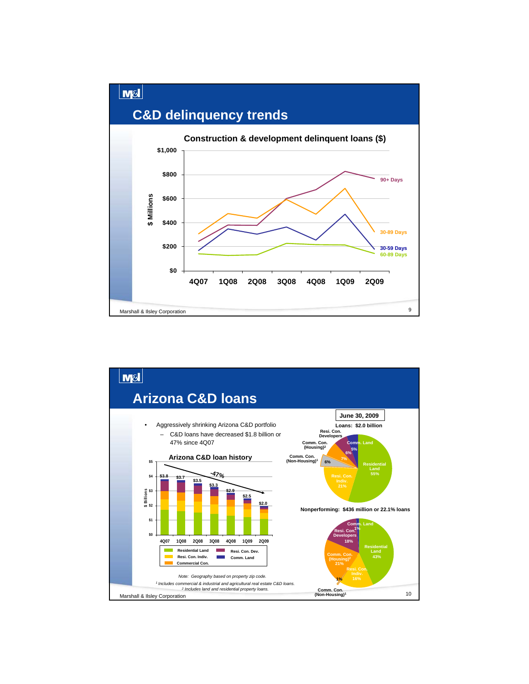

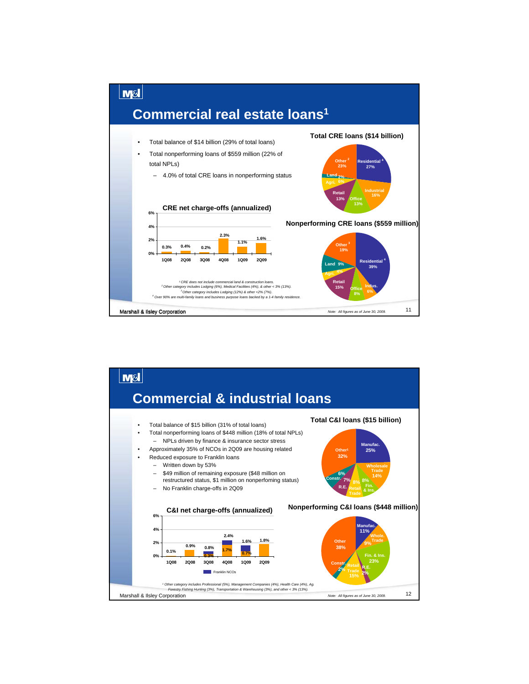

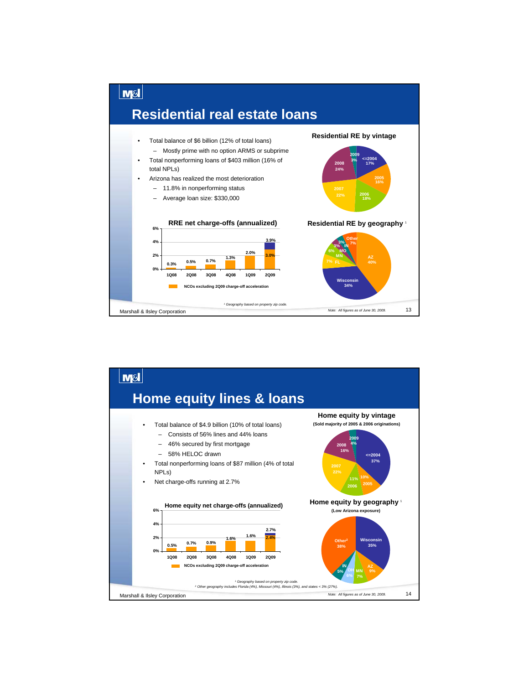

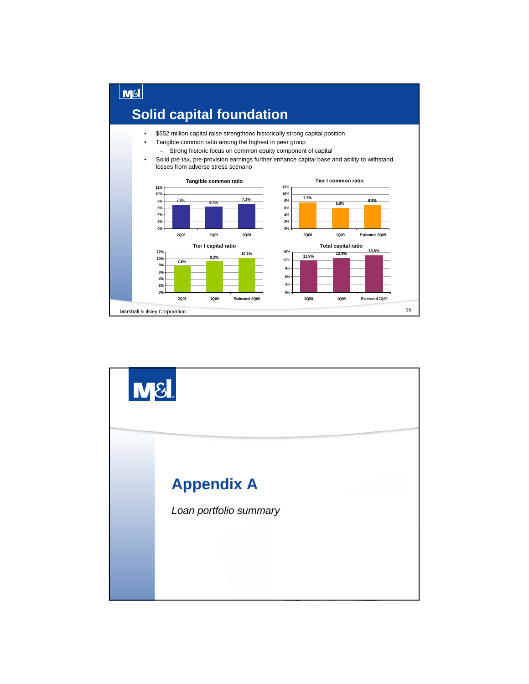

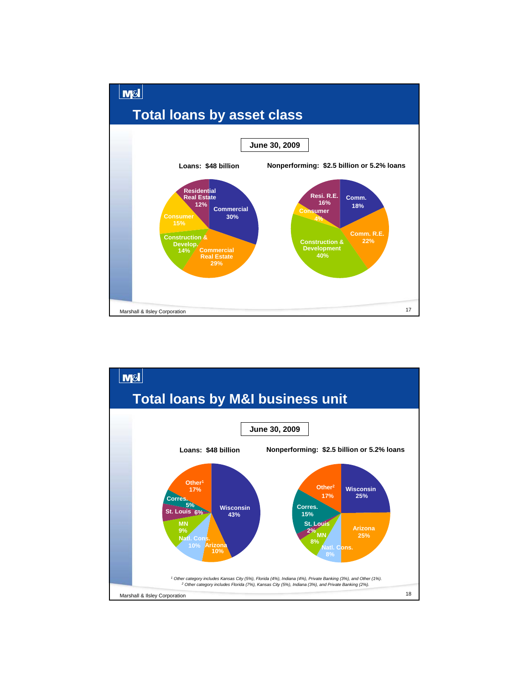

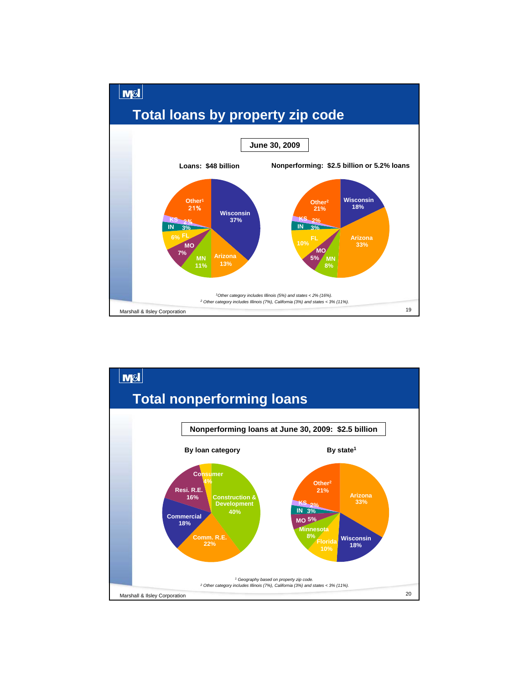

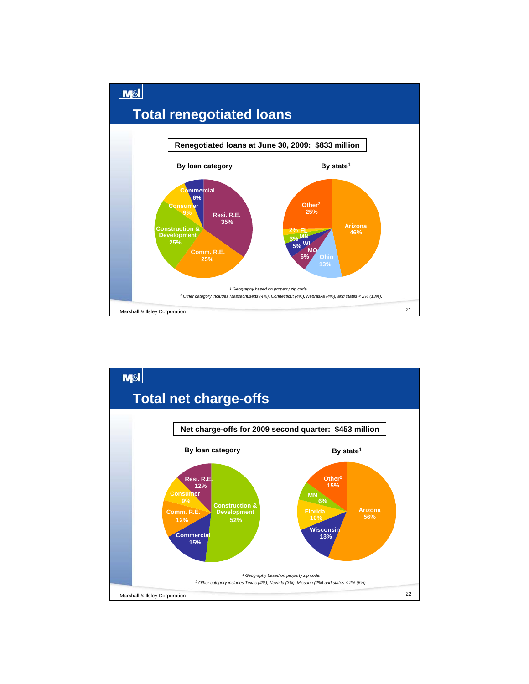

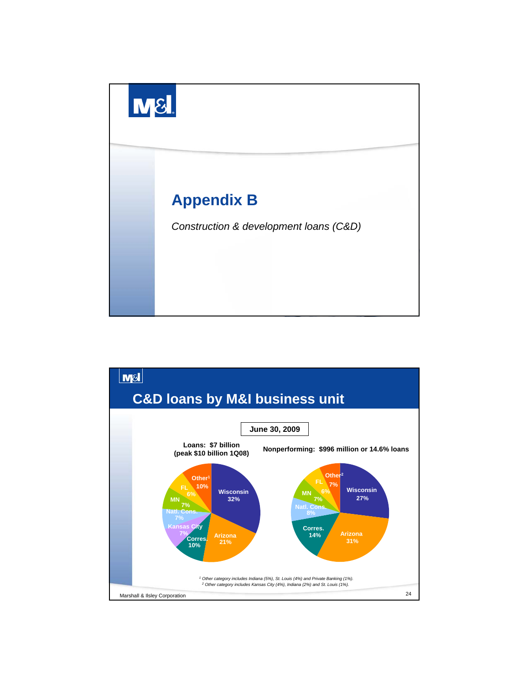

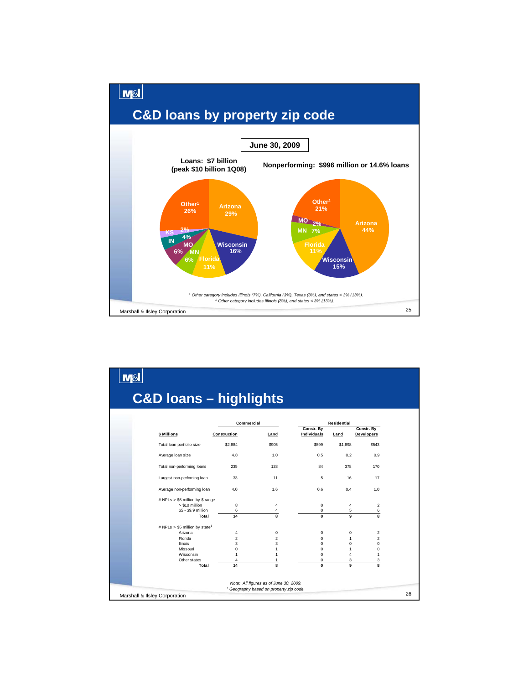

|                                            |                | Commercial              |                           | Residential    |                                 |  |
|--------------------------------------------|----------------|-------------------------|---------------------------|----------------|---------------------------------|--|
| \$ Millions                                | Construction   | Land                    | Constr. By<br>Individuals | Land           | Constr. By<br><b>Developers</b> |  |
| Total loan portfolio size                  | \$2,884        | \$905                   | \$599                     | \$1,898        | \$543                           |  |
| Average loan size                          | 4.8            | 1.0                     | 0.5                       | 0.2            | 0.9                             |  |
| Total non-performing loans                 | 235            | 128                     | 84                        | 378            | 170                             |  |
| Largest non-perforning loan                | 33             | 11                      | 5                         | 16             | 17                              |  |
| Average non-performing loan                | 4.0            | 1.6                     | 0.6                       | 0.4            | 1.0                             |  |
| # NPLs > \$5 million by \$ range           |                |                         |                           |                |                                 |  |
| > \$10 million                             | 8              | 4                       | 0                         | $\overline{4}$ | $\overline{2}$                  |  |
| \$5 - \$9.9 million                        | 6              | 4                       | 0                         | 5              | 6                               |  |
| Total                                      | 14             | $\overline{\mathbf{g}}$ | $\mathbf{0}$              | 9              | 8                               |  |
| # NPLs > \$5 million by state <sup>1</sup> |                |                         |                           |                |                                 |  |
| Arizona                                    | 4              | $\mathbf 0$             | 0                         | $\mathbf 0$    | $\overline{2}$                  |  |
| Florida                                    | $\overline{2}$ | $\overline{c}$          | $\Omega$                  | $\mathbf{1}$   | $\overline{c}$                  |  |
| <b>Ilinois</b>                             | 3              | 3                       | 0                         | $\mathbf 0$    | 0                               |  |
| Missouri                                   | $\mathbf 0$    | 1                       | $\Omega$                  | $\mathbf{1}$   | 0                               |  |
| Wisconsin                                  | 1              | 1                       | $\Omega$                  | 4              | 1                               |  |
| Other states                               | $\overline{4}$ | $\mathbf{1}$            | 0                         | 3              | 3                               |  |
| Total                                      | 14             | 8                       | $\mathbf{0}$              | 9              | $\overline{\mathbf{g}}$         |  |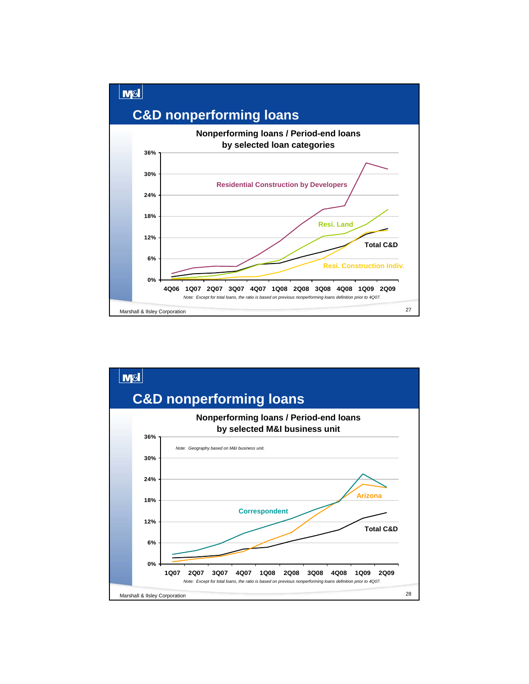

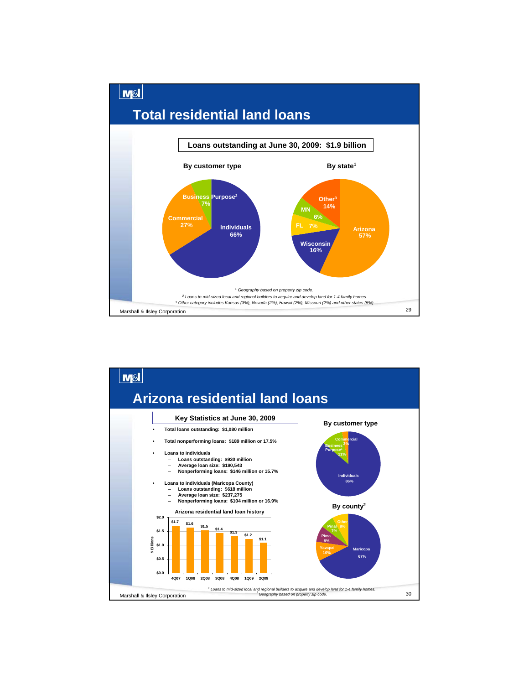

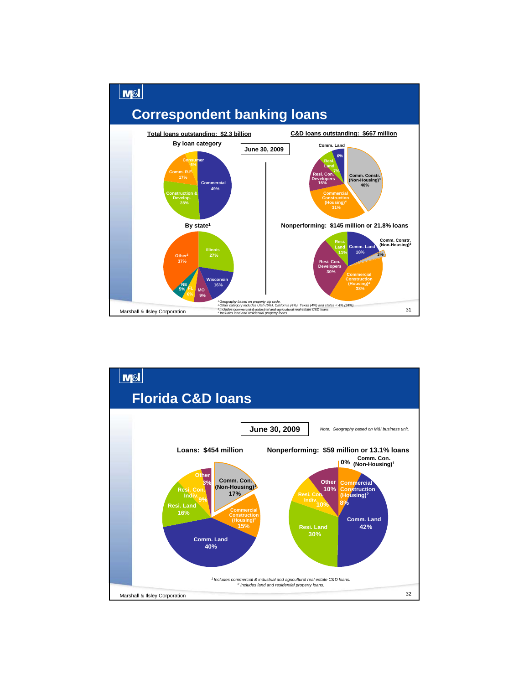

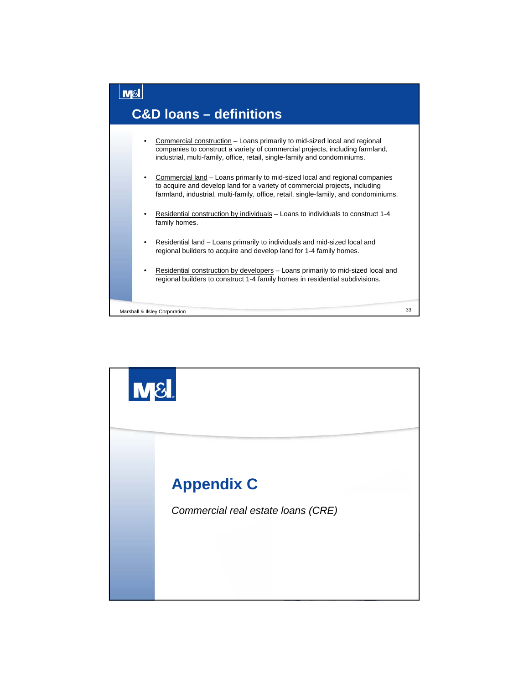

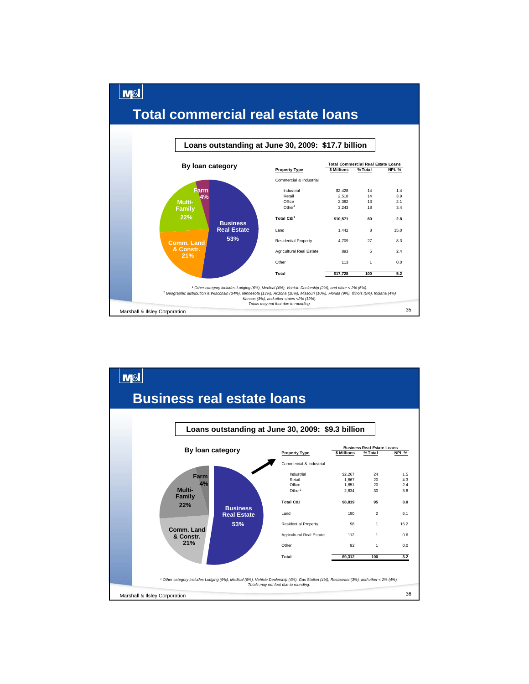

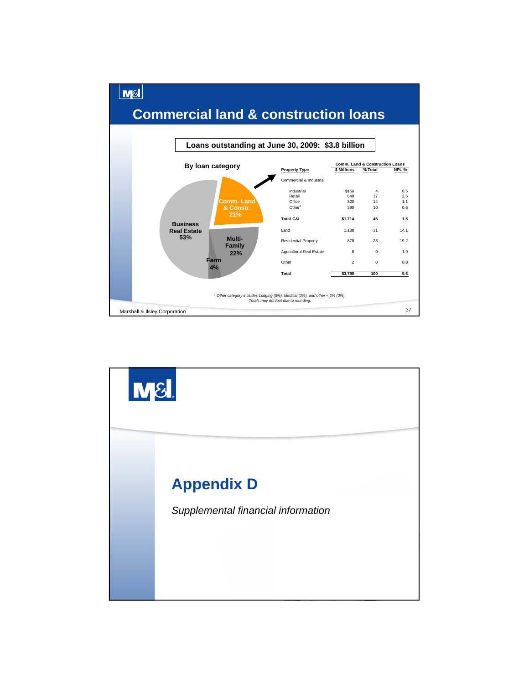